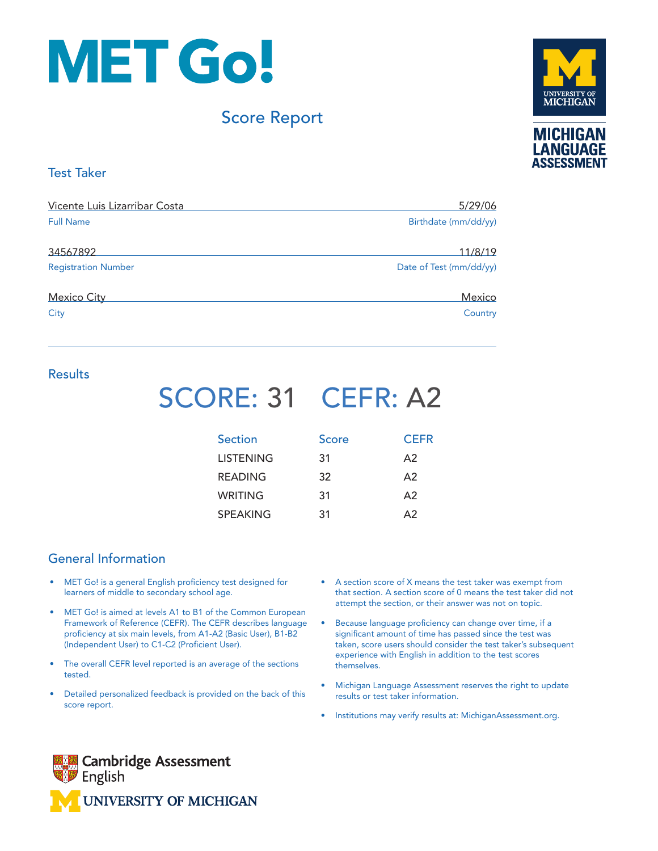

# Score Report



# Test Taker

| Vicente Luis Lizarribar Costa | 5/29/06                 |
|-------------------------------|-------------------------|
| <b>Full Name</b>              | Birthdate (mm/dd/yy)    |
| 34567892                      | 11/8/19                 |
| <b>Registration Number</b>    | Date of Test (mm/dd/yy) |
| <b>Mexico City</b>            | Mexico                  |
| City                          | Country                 |

## **Results**

# SCORE: 31 CEFR: A2

| Section          | Score | <b>CEFR</b> |
|------------------|-------|-------------|
| <b>LISTENING</b> | 31    | A2          |
| <b>READING</b>   | 32    | A2          |
| WRITING          | 31    | A2          |
| <b>SPEAKING</b>  | 31    | $\Delta$ 2  |

# General Information

- MET Go! is a general English proficiency test designed for learners of middle to secondary school age.
- MET Go! is aimed at levels A1 to B1 of the Common European Framework of Reference (CEFR). The CEFR describes language proficiency at six main levels, from A1-A2 (Basic User), B1-B2 (Independent User) to C1-C2 (Proficient User).
- The overall CEFR level reported is an average of the sections tested.
- Detailed personalized feedback is provided on the back of this score report.
- A section score of X means the test taker was exempt from that section. A section score of 0 means the test taker did not attempt the section, or their answer was not on topic.
- Because language proficiency can change over time, if a significant amount of time has passed since the test was taken, score users should consider the test taker's subsequent experience with English in addition to the test scores themselves.
- Michigan Language Assessment reserves the right to update results or test taker information.
- Institutions may verify results at: MichiganAssessment.org.

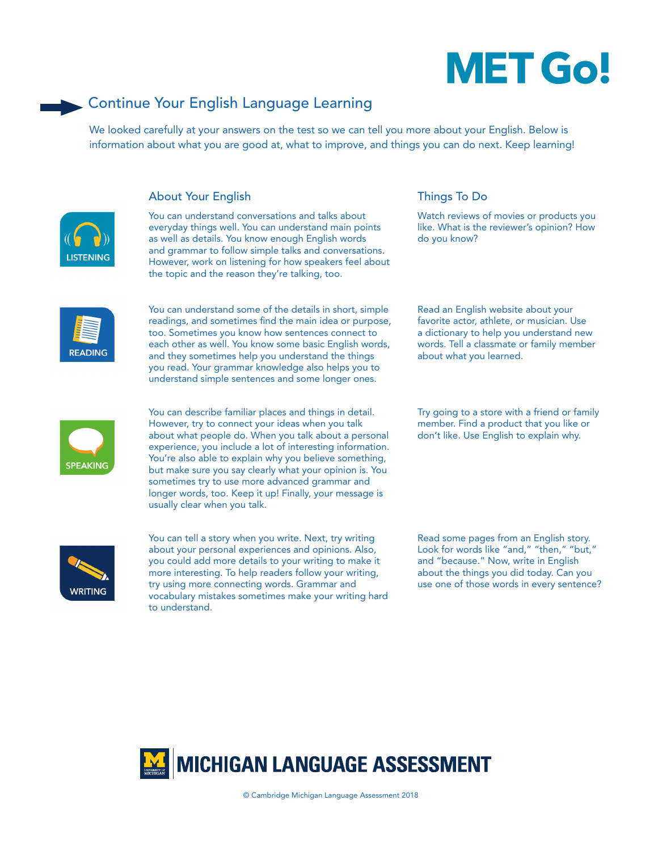# **MET Go!**

# Continue Your English Language Learning

We looked carefully at your answers on the test so we can tell you more about your English. Below is information about what you are good at, what to improve, and things you can do next. Keep learning!



### About Your English Things To Do

You can understand conversations and talks about everyday things well. You can understand main points as well as details. You know enough English words and grammar to follow simple talks and conversations. However, work on listening for how speakers feel about the topic and the reason they're talking, too.



You can understand some of the details in short, simple readings, and sometimes find the main idea or purpose, too. Sometimes you know how sentences connect to each other as well. You know some basic English words, and they sometimes help you understand the things you read. Your grammar knowledge also helps you to understand simple sentences and some longer ones.



You can describe familiar places and things in detail. However, try to connect your ideas when you talk about what people do. When you talk about a personal experience, you include a lot of interesting information. You're also able to explain why you believe something, but make sure you say clearly what your opinion is. You sometimes try to use more advanced grammar and longer words, too. Keep it up! Finally, your message is usually clear when you talk.



You can tell a story when you write. Next, try writing about your personal experiences and opinions. Also, you could add more details to your writing to make it more interesting. To help readers follow your writing, try using more connecting words. Grammar and vocabulary mistakes sometimes make your writing hard to understand.

Watch reviews of movies or products you like. What is the reviewer's opinion? How do you know?

Read an English website about your favorite actor, athlete, or musician. Use a dictionary to help you understand new words. Tell a classmate or family member about what you learned.

Try going to a store with a friend or family member. Find a product that you like or don't like. Use English to explain why.

Read some pages from an English story. Look for words like "and," "then," "but," and "because." Now, write in English about the things you did today. Can you use one of those words in every sentence?

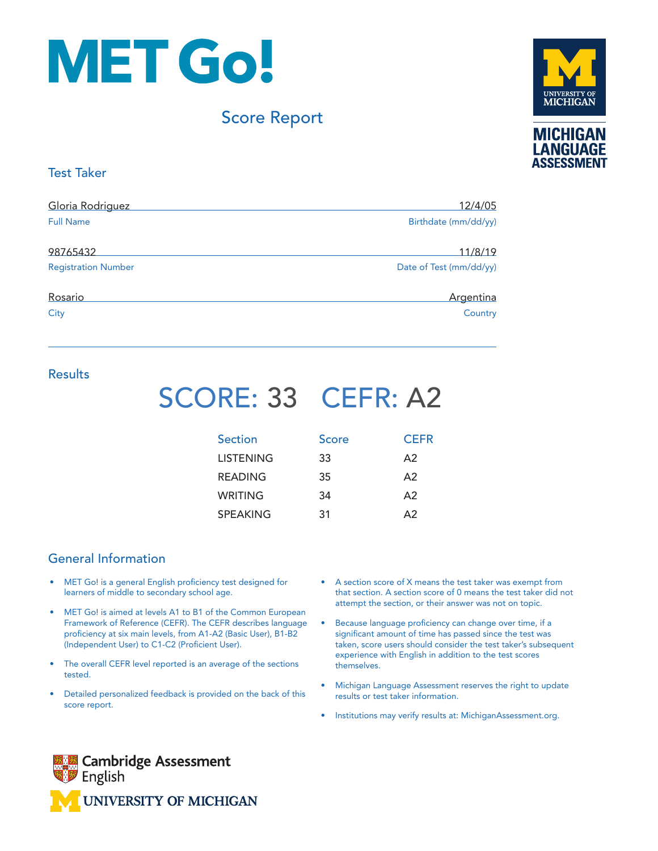

# Score Report



## Test Taker

| Gloria Rodriguez           | 12/4/05                 |
|----------------------------|-------------------------|
| <b>Full Name</b>           | Birthdate (mm/dd/yy)    |
| 98765432                   | 11/8/19                 |
| <b>Registration Number</b> | Date of Test (mm/dd/yy) |
| Rosario                    | Argentina               |
| City                       | Country                 |

# **Results**

# SCORE: 33 CEFR: A2

| <b>Section</b>   | Score | <b>CEFR</b> |
|------------------|-------|-------------|
| <b>LISTENING</b> | 33    | A2          |
| <b>READING</b>   | 35    | A2          |
| WRITING          | 34    | A2          |
| <b>SPEAKING</b>  | 31    | $\Delta$ 2  |

# General Information

- MET Go! is a general English proficiency test designed for learners of middle to secondary school age.
- MET Go! is aimed at levels A1 to B1 of the Common European Framework of Reference (CEFR). The CEFR describes language proficiency at six main levels, from A1-A2 (Basic User), B1-B2 (Independent User) to C1-C2 (Proficient User).
- The overall CEFR level reported is an average of the sections tested.
- Detailed personalized feedback is provided on the back of this score report.
- A section score of X means the test taker was exempt from that section. A section score of 0 means the test taker did not attempt the section, or their answer was not on topic.
- Because language proficiency can change over time, if a significant amount of time has passed since the test was taken, score users should consider the test taker's subsequent experience with English in addition to the test scores themselves.
- Michigan Language Assessment reserves the right to update results or test taker information.
- Institutions may verify results at: MichiganAssessment.org.